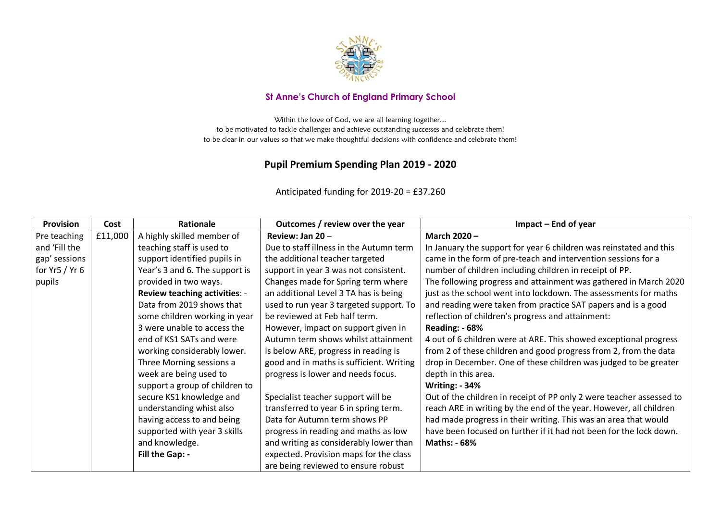

## **St Anne's Church of England Primary School**

Within the love of God, we are all learning together... to be motivated to tackle challenges and achieve outstanding successes and celebrate them! to be clear in our values so that we make thoughtful decisions with confidence and celebrate them!

## **Pupil Premium Spending Plan 2019 - 2020**

Anticipated funding for 2019-20 = £37.260

| <b>Provision</b>  | Cost    | Rationale                            | Outcomes / review over the year          | Impact - End of year                                                 |
|-------------------|---------|--------------------------------------|------------------------------------------|----------------------------------------------------------------------|
| Pre teaching      | £11,000 | A highly skilled member of           | Review: Jan 20-                          | <b>March 2020 -</b>                                                  |
| and 'Fill the     |         | teaching staff is used to            | Due to staff illness in the Autumn term  | In January the support for year 6 children was reinstated and this   |
| gap' sessions     |         | support identified pupils in         | the additional teacher targeted          | came in the form of pre-teach and intervention sessions for a        |
| for $Yr5$ / $Yr6$ |         | Year's 3 and 6. The support is       | support in year 3 was not consistent.    | number of children including children in receipt of PP.              |
| pupils            |         | provided in two ways.                | Changes made for Spring term where       | The following progress and attainment was gathered in March 2020     |
|                   |         | <b>Review teaching activities: -</b> | an additional Level 3 TA has is being    | just as the school went into lockdown. The assessments for maths     |
|                   |         | Data from 2019 shows that            | used to run year 3 targeted support. To  | and reading were taken from practice SAT papers and is a good        |
|                   |         | some children working in year        | be reviewed at Feb half term.            | reflection of children's progress and attainment:                    |
|                   |         | 3 were unable to access the          | However, impact on support given in      | Reading: - 68%                                                       |
|                   |         | end of KS1 SATs and were             | Autumn term shows whilst attainment      | 4 out of 6 children were at ARE. This showed exceptional progress    |
|                   |         | working considerably lower.          | is below ARE, progress in reading is     | from 2 of these children and good progress from 2, from the data     |
|                   |         | Three Morning sessions a             | good and in maths is sufficient. Writing | drop in December. One of these children was judged to be greater     |
|                   |         | week are being used to               | progress is lower and needs focus.       | depth in this area.                                                  |
|                   |         | support a group of children to       |                                          | <b>Writing: - 34%</b>                                                |
|                   |         | secure KS1 knowledge and             | Specialist teacher support will be       | Out of the children in receipt of PP only 2 were teacher assessed to |
|                   |         | understanding whist also             | transferred to year 6 in spring term.    | reach ARE in writing by the end of the year. However, all children   |
|                   |         | having access to and being           | Data for Autumn term shows PP            | had made progress in their writing. This was an area that would      |
|                   |         | supported with year 3 skills         | progress in reading and maths as low     | have been focused on further if it had not been for the lock down.   |
|                   |         | and knowledge.                       | and writing as considerably lower than   | <b>Maths: - 68%</b>                                                  |
|                   |         | Fill the Gap: -                      | expected. Provision maps for the class   |                                                                      |
|                   |         |                                      | are being reviewed to ensure robust      |                                                                      |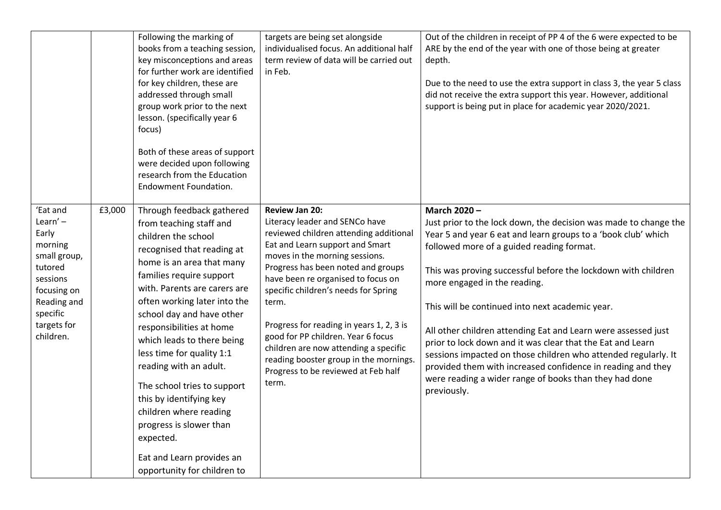|                                                                                                                                                         |        | Following the marking of<br>books from a teaching session,<br>key misconceptions and areas<br>for further work are identified<br>for key children, these are<br>addressed through small<br>group work prior to the next<br>lesson. (specifically year 6<br>focus)<br>Both of these areas of support<br>were decided upon following<br>research from the Education<br>Endowment Foundation.                                                                                                                                                                               | targets are being set alongside<br>individualised focus. An additional half<br>term review of data will be carried out<br>in Feb.                                                                                                                                                                                                                                                                                                                                                                                        | Out of the children in receipt of PP 4 of the 6 were expected to be<br>ARE by the end of the year with one of those being at greater<br>depth.<br>Due to the need to use the extra support in class 3, the year 5 class<br>did not receive the extra support this year. However, additional<br>support is being put in place for academic year 2020/2021.                                                                                                                                                                                                                                                                                                                                  |
|---------------------------------------------------------------------------------------------------------------------------------------------------------|--------|--------------------------------------------------------------------------------------------------------------------------------------------------------------------------------------------------------------------------------------------------------------------------------------------------------------------------------------------------------------------------------------------------------------------------------------------------------------------------------------------------------------------------------------------------------------------------|--------------------------------------------------------------------------------------------------------------------------------------------------------------------------------------------------------------------------------------------------------------------------------------------------------------------------------------------------------------------------------------------------------------------------------------------------------------------------------------------------------------------------|--------------------------------------------------------------------------------------------------------------------------------------------------------------------------------------------------------------------------------------------------------------------------------------------------------------------------------------------------------------------------------------------------------------------------------------------------------------------------------------------------------------------------------------------------------------------------------------------------------------------------------------------------------------------------------------------|
| 'Eat and<br>Learn' $-$<br>Early<br>morning<br>small group,<br>tutored<br>sessions<br>focusing on<br>Reading and<br>specific<br>targets for<br>children. | £3,000 | Through feedback gathered<br>from teaching staff and<br>children the school<br>recognised that reading at<br>home is an area that many<br>families require support<br>with. Parents are carers are<br>often working later into the<br>school day and have other<br>responsibilities at home<br>which leads to there being<br>less time for quality 1:1<br>reading with an adult.<br>The school tries to support<br>this by identifying key<br>children where reading<br>progress is slower than<br>expected.<br>Eat and Learn provides an<br>opportunity for children to | <b>Review Jan 20:</b><br>Literacy leader and SENCo have<br>reviewed children attending additional<br>Eat and Learn support and Smart<br>moves in the morning sessions.<br>Progress has been noted and groups<br>have been re organised to focus on<br>specific children's needs for Spring<br>term.<br>Progress for reading in years 1, 2, 3 is<br>good for PP children. Year 6 focus<br>children are now attending a specific<br>reading booster group in the mornings.<br>Progress to be reviewed at Feb half<br>term. | March 2020-<br>Just prior to the lock down, the decision was made to change the<br>Year 5 and year 6 eat and learn groups to a 'book club' which<br>followed more of a guided reading format.<br>This was proving successful before the lockdown with children<br>more engaged in the reading.<br>This will be continued into next academic year.<br>All other children attending Eat and Learn were assessed just<br>prior to lock down and it was clear that the Eat and Learn<br>sessions impacted on those children who attended regularly. It<br>provided them with increased confidence in reading and they<br>were reading a wider range of books than they had done<br>previously. |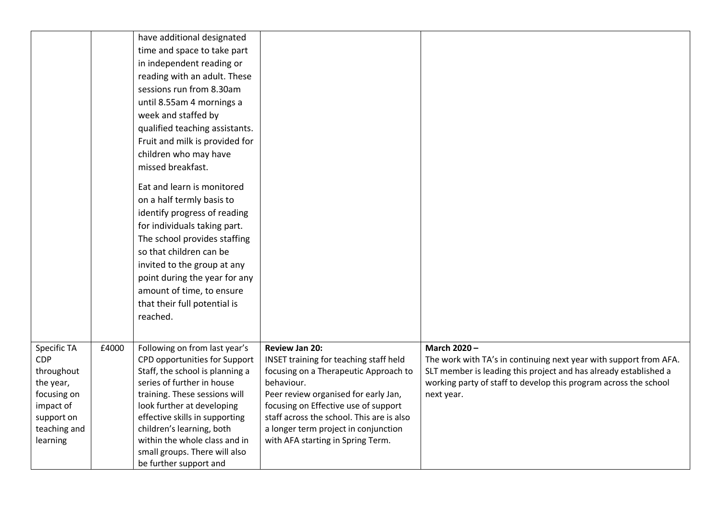|                           |       | have additional designated                                     |                                                                 |                                                                                  |
|---------------------------|-------|----------------------------------------------------------------|-----------------------------------------------------------------|----------------------------------------------------------------------------------|
|                           |       | time and space to take part                                    |                                                                 |                                                                                  |
|                           |       | in independent reading or                                      |                                                                 |                                                                                  |
|                           |       | reading with an adult. These                                   |                                                                 |                                                                                  |
|                           |       | sessions run from 8.30am                                       |                                                                 |                                                                                  |
|                           |       | until 8.55am 4 mornings a                                      |                                                                 |                                                                                  |
|                           |       | week and staffed by                                            |                                                                 |                                                                                  |
|                           |       | qualified teaching assistants.                                 |                                                                 |                                                                                  |
|                           |       | Fruit and milk is provided for                                 |                                                                 |                                                                                  |
|                           |       | children who may have                                          |                                                                 |                                                                                  |
|                           |       | missed breakfast.                                              |                                                                 |                                                                                  |
|                           |       |                                                                |                                                                 |                                                                                  |
|                           |       | Eat and learn is monitored                                     |                                                                 |                                                                                  |
|                           |       | on a half termly basis to                                      |                                                                 |                                                                                  |
|                           |       | identify progress of reading                                   |                                                                 |                                                                                  |
|                           |       | for individuals taking part.                                   |                                                                 |                                                                                  |
|                           |       | The school provides staffing                                   |                                                                 |                                                                                  |
|                           |       | so that children can be                                        |                                                                 |                                                                                  |
|                           |       | invited to the group at any                                    |                                                                 |                                                                                  |
|                           |       | point during the year for any                                  |                                                                 |                                                                                  |
|                           |       | amount of time, to ensure                                      |                                                                 |                                                                                  |
|                           |       | that their full potential is                                   |                                                                 |                                                                                  |
|                           |       | reached.                                                       |                                                                 |                                                                                  |
|                           |       |                                                                |                                                                 |                                                                                  |
|                           |       |                                                                |                                                                 |                                                                                  |
| Specific TA<br><b>CDP</b> | £4000 | Following on from last year's<br>CPD opportunities for Support | <b>Review Jan 20:</b><br>INSET training for teaching staff held | March 2020-<br>The work with TA's in continuing next year with support from AFA. |
| throughout                |       | Staff, the school is planning a                                | focusing on a Therapeutic Approach to                           | SLT member is leading this project and has already established a                 |
| the year,                 |       | series of further in house                                     | behaviour.                                                      | working party of staff to develop this program across the school                 |
| focusing on               |       | training. These sessions will                                  | Peer review organised for early Jan,                            | next year.                                                                       |
| impact of                 |       | look further at developing                                     | focusing on Effective use of support                            |                                                                                  |
| support on                |       | effective skills in supporting                                 | staff across the school. This are is also                       |                                                                                  |
| teaching and              |       | children's learning, both                                      | a longer term project in conjunction                            |                                                                                  |
| learning                  |       | within the whole class and in                                  | with AFA starting in Spring Term.                               |                                                                                  |
|                           |       | small groups. There will also                                  |                                                                 |                                                                                  |
|                           |       | be further support and                                         |                                                                 |                                                                                  |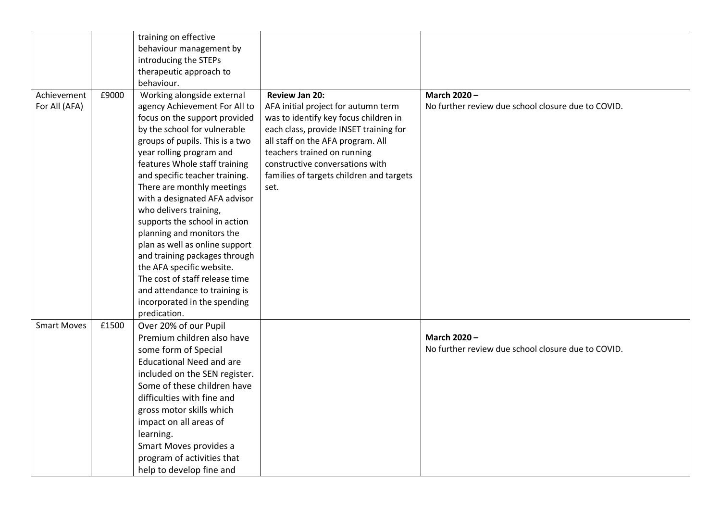|                    |       | training on effective           |                                          |                                                    |
|--------------------|-------|---------------------------------|------------------------------------------|----------------------------------------------------|
|                    |       | behaviour management by         |                                          |                                                    |
|                    |       | introducing the STEPs           |                                          |                                                    |
|                    |       | therapeutic approach to         |                                          |                                                    |
|                    |       | behaviour.                      |                                          |                                                    |
| Achievement        | £9000 | Working alongside external      | <b>Review Jan 20:</b>                    | March 2020-                                        |
| For All (AFA)      |       | agency Achievement For All to   | AFA initial project for autumn term      | No further review due school closure due to COVID. |
|                    |       | focus on the support provided   | was to identify key focus children in    |                                                    |
|                    |       | by the school for vulnerable    | each class, provide INSET training for   |                                                    |
|                    |       | groups of pupils. This is a two | all staff on the AFA program. All        |                                                    |
|                    |       | year rolling program and        | teachers trained on running              |                                                    |
|                    |       | features Whole staff training   | constructive conversations with          |                                                    |
|                    |       | and specific teacher training.  | families of targets children and targets |                                                    |
|                    |       | There are monthly meetings      | set.                                     |                                                    |
|                    |       | with a designated AFA advisor   |                                          |                                                    |
|                    |       | who delivers training,          |                                          |                                                    |
|                    |       | supports the school in action   |                                          |                                                    |
|                    |       | planning and monitors the       |                                          |                                                    |
|                    |       | plan as well as online support  |                                          |                                                    |
|                    |       | and training packages through   |                                          |                                                    |
|                    |       | the AFA specific website.       |                                          |                                                    |
|                    |       | The cost of staff release time  |                                          |                                                    |
|                    |       | and attendance to training is   |                                          |                                                    |
|                    |       | incorporated in the spending    |                                          |                                                    |
|                    |       | predication.                    |                                          |                                                    |
| <b>Smart Moves</b> | £1500 | Over 20% of our Pupil           |                                          |                                                    |
|                    |       | Premium children also have      |                                          | March 2020-                                        |
|                    |       | some form of Special            |                                          | No further review due school closure due to COVID. |
|                    |       | <b>Educational Need and are</b> |                                          |                                                    |
|                    |       | included on the SEN register.   |                                          |                                                    |
|                    |       | Some of these children have     |                                          |                                                    |
|                    |       | difficulties with fine and      |                                          |                                                    |
|                    |       | gross motor skills which        |                                          |                                                    |
|                    |       | impact on all areas of          |                                          |                                                    |
|                    |       | learning.                       |                                          |                                                    |
|                    |       | Smart Moves provides a          |                                          |                                                    |
|                    |       | program of activities that      |                                          |                                                    |
|                    |       | help to develop fine and        |                                          |                                                    |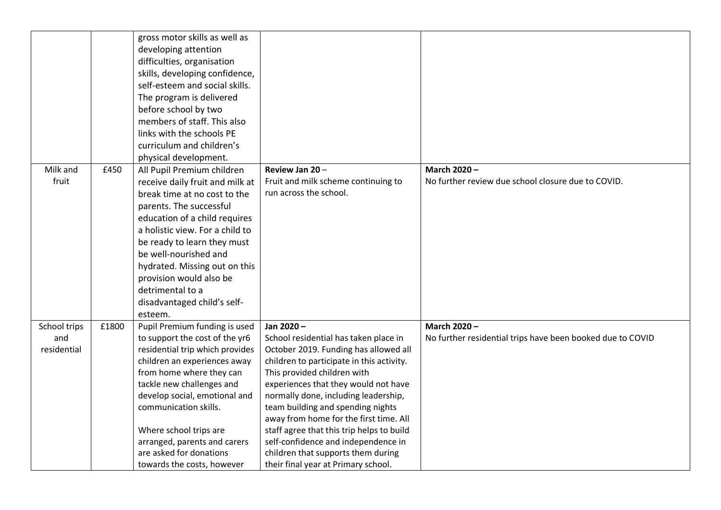|              |       | gross motor skills as well as                          |                                                                                  |                                                            |
|--------------|-------|--------------------------------------------------------|----------------------------------------------------------------------------------|------------------------------------------------------------|
|              |       | developing attention                                   |                                                                                  |                                                            |
|              |       | difficulties, organisation                             |                                                                                  |                                                            |
|              |       | skills, developing confidence,                         |                                                                                  |                                                            |
|              |       | self-esteem and social skills.                         |                                                                                  |                                                            |
|              |       | The program is delivered                               |                                                                                  |                                                            |
|              |       | before school by two                                   |                                                                                  |                                                            |
|              |       | members of staff. This also                            |                                                                                  |                                                            |
|              |       | links with the schools PE                              |                                                                                  |                                                            |
|              |       | curriculum and children's                              |                                                                                  |                                                            |
|              |       | physical development.                                  |                                                                                  |                                                            |
| Milk and     | £450  | All Pupil Premium children                             | Review Jan 20-                                                                   | March 2020-                                                |
| fruit        |       | receive daily fruit and milk at                        | Fruit and milk scheme continuing to                                              | No further review due school closure due to COVID.         |
|              |       | break time at no cost to the                           | run across the school.                                                           |                                                            |
|              |       | parents. The successful                                |                                                                                  |                                                            |
|              |       | education of a child requires                          |                                                                                  |                                                            |
|              |       | a holistic view. For a child to                        |                                                                                  |                                                            |
|              |       | be ready to learn they must                            |                                                                                  |                                                            |
|              |       | be well-nourished and                                  |                                                                                  |                                                            |
|              |       | hydrated. Missing out on this                          |                                                                                  |                                                            |
|              |       | provision would also be                                |                                                                                  |                                                            |
|              |       | detrimental to a                                       |                                                                                  |                                                            |
|              |       | disadvantaged child's self-                            |                                                                                  |                                                            |
|              |       | esteem.                                                |                                                                                  |                                                            |
| School trips | £1800 | Pupil Premium funding is used                          | Jan 2020-                                                                        | March 2020-                                                |
| and          |       | to support the cost of the yr6                         | School residential has taken place in                                            | No further residential trips have been booked due to COVID |
| residential  |       | residential trip which provides                        | October 2019. Funding has allowed all                                            |                                                            |
|              |       | children an experiences away                           | children to participate in this activity.                                        |                                                            |
|              |       | from home where they can                               | This provided children with                                                      |                                                            |
|              |       | tackle new challenges and                              | experiences that they would not have                                             |                                                            |
|              |       | develop social, emotional and                          | normally done, including leadership,                                             |                                                            |
|              |       | communication skills.                                  | team building and spending nights                                                |                                                            |
|              |       |                                                        | away from home for the first time. All                                           |                                                            |
|              |       | Where school trips are<br>arranged, parents and carers | staff agree that this trip helps to build<br>self-confidence and independence in |                                                            |
|              |       | are asked for donations                                | children that supports them during                                               |                                                            |
|              |       | towards the costs, however                             | their final year at Primary school.                                              |                                                            |
|              |       |                                                        |                                                                                  |                                                            |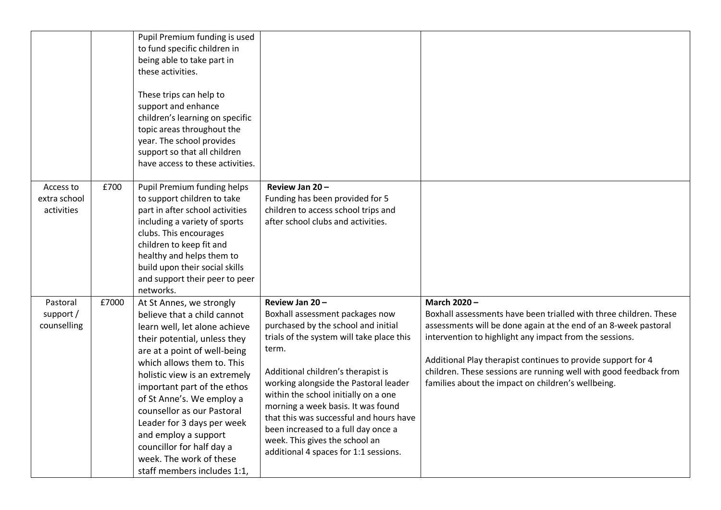|                                         |       | Pupil Premium funding is used<br>to fund specific children in<br>being able to take part in<br>these activities.<br>These trips can help to<br>support and enhance<br>children's learning on specific<br>topic areas throughout the<br>year. The school provides<br>support so that all children<br>have access to these activities.                                                                                                                           |                                                                                                                                                                                                                                                                                                                                                                                                                                                                          |                                                                                                                                                                                                                                                                                                                                                                                                           |
|-----------------------------------------|-------|----------------------------------------------------------------------------------------------------------------------------------------------------------------------------------------------------------------------------------------------------------------------------------------------------------------------------------------------------------------------------------------------------------------------------------------------------------------|--------------------------------------------------------------------------------------------------------------------------------------------------------------------------------------------------------------------------------------------------------------------------------------------------------------------------------------------------------------------------------------------------------------------------------------------------------------------------|-----------------------------------------------------------------------------------------------------------------------------------------------------------------------------------------------------------------------------------------------------------------------------------------------------------------------------------------------------------------------------------------------------------|
| Access to<br>extra school<br>activities | £700  | Pupil Premium funding helps<br>to support children to take<br>part in after school activities<br>including a variety of sports<br>clubs. This encourages<br>children to keep fit and<br>healthy and helps them to<br>build upon their social skills<br>and support their peer to peer<br>networks.                                                                                                                                                             | Review Jan 20-<br>Funding has been provided for 5<br>children to access school trips and<br>after school clubs and activities.                                                                                                                                                                                                                                                                                                                                           |                                                                                                                                                                                                                                                                                                                                                                                                           |
| Pastoral<br>support /<br>counselling    | £7000 | At St Annes, we strongly<br>believe that a child cannot<br>learn well, let alone achieve<br>their potential, unless they<br>are at a point of well-being<br>which allows them to. This<br>holistic view is an extremely<br>important part of the ethos<br>of St Anne's. We employ a<br>counsellor as our Pastoral<br>Leader for 3 days per week<br>and employ a support<br>councillor for half day a<br>week. The work of these<br>staff members includes 1:1, | Review Jan 20-<br>Boxhall assessment packages now<br>purchased by the school and initial<br>trials of the system will take place this<br>term.<br>Additional children's therapist is<br>working alongside the Pastoral leader<br>within the school initially on a one<br>morning a week basis. It was found<br>that this was successful and hours have<br>been increased to a full day once a<br>week. This gives the school an<br>additional 4 spaces for 1:1 sessions. | March 2020-<br>Boxhall assessments have been trialled with three children. These<br>assessments will be done again at the end of an 8-week pastoral<br>intervention to highlight any impact from the sessions.<br>Additional Play therapist continues to provide support for 4<br>children. These sessions are running well with good feedback from<br>families about the impact on children's wellbeing. |